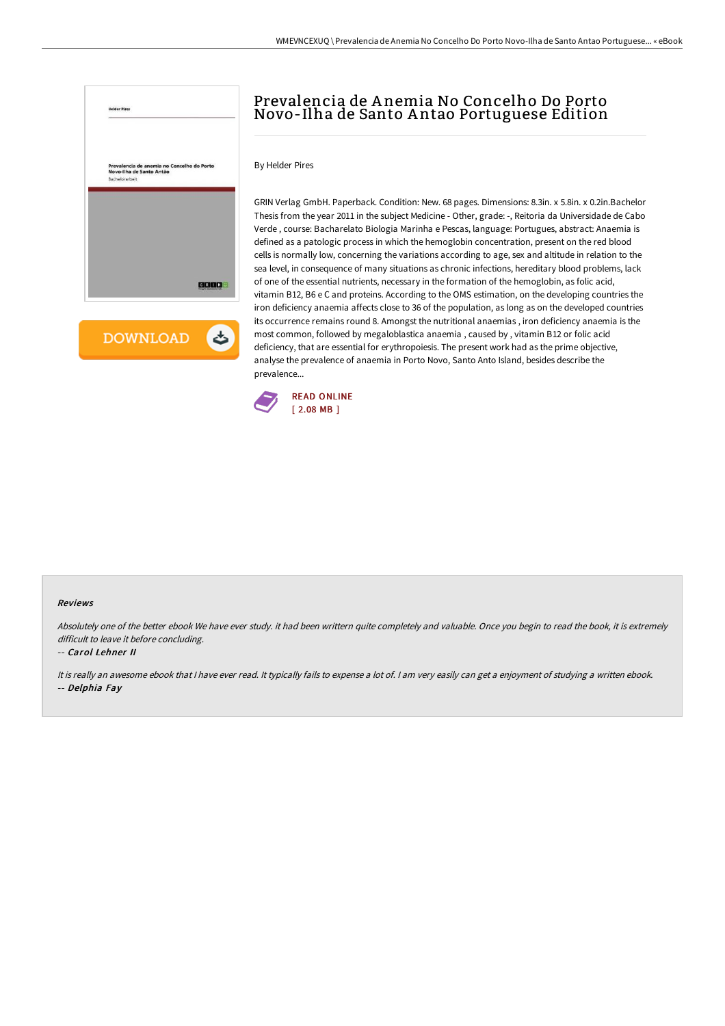

**DOWNLOAD** ٹ

# Prevalencia de A nemia No Concelho Do Porto Novo-Ilha de Santo A ntao Portuguese Edition

By Helder Pires

GRIN Verlag GmbH. Paperback. Condition: New. 68 pages. Dimensions: 8.3in. x 5.8in. x 0.2in.Bachelor Thesis from the year 2011 in the subject Medicine - Other, grade: -, Reitoria da Universidade de Cabo Verde , course: Bacharelato Biologia Marinha e Pescas, language: Portugues, abstract: Anaemia is defined as a patologic process in which the hemoglobin concentration, present on the red blood cells is normally low, concerning the variations according to age, sex and altitude in relation to the sea level, in consequence of many situations as chronic infections, hereditary blood problems, lack of one of the essential nutrients, necessary in the formation of the hemoglobin, as folic acid, vitamin B12, B6 e C and proteins. According to the OMS estimation, on the developing countries the iron deficiency anaemia affects close to 36 of the population, as long as on the developed countries its occurrence remains round 8. Amongst the nutritional anaemias , iron deficiency anaemia is the most common, followed by megaloblastica anaemia , caused by , vitamin B12 or folic acid deficiency, that are essential for erythropoiesis. The present work had as the prime objective, analyse the prevalence of anaemia in Porto Novo, Santo Anto Island, besides describe the prevalence...



#### Reviews

Absolutely one of the better ebook We have ever study. it had been writtern quite completely and valuable. Once you begin to read the book, it is extremely difficult to leave it before concluding.

### -- Carol Lehner II

It is really an awesome ebook that I have ever read. It typically fails to expense a lot of. I am very easily can get a enjoyment of studying a written ebook. -- Delphia Fay